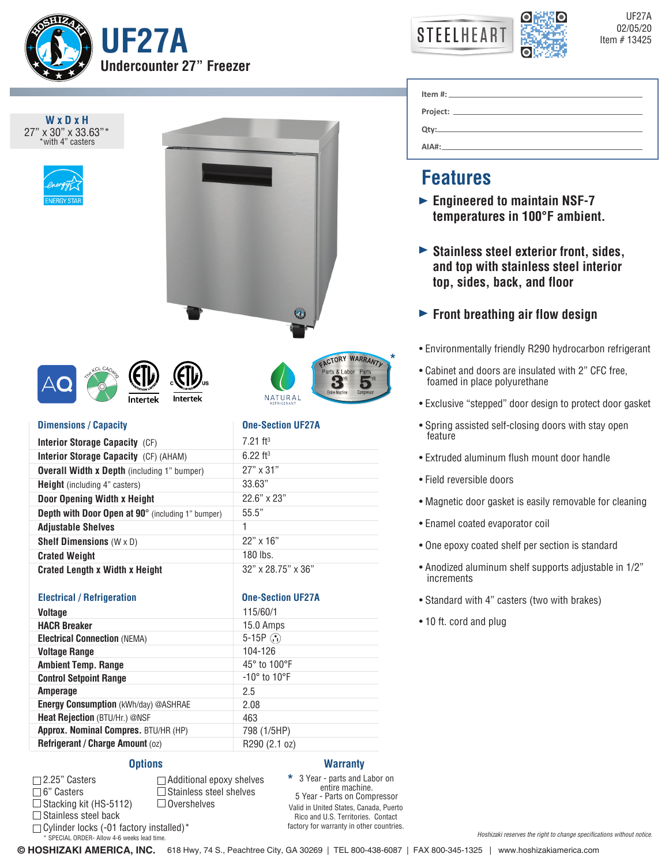



UF27A

| WxDxH<br>27" x 30" x 33.63"*<br>*with 4" casters            |                                                                                  |
|-------------------------------------------------------------|----------------------------------------------------------------------------------|
| Intertek<br>Intertek                                        | <b>CACTORY WARRANTL</b><br>Parts & Labor<br>Entire Machine<br>Compres<br>NATURAL |
| <b>Dimensions / Capacity</b>                                | <b>One-Section UF27A</b>                                                         |
| Interior Storage Capacity (CF)                              | $7.21$ ft <sup>3</sup>                                                           |
| Interior Storage Capacity (CF) (AHAM)                       | $6.22$ ft <sup>3</sup>                                                           |
| <b>Overall Width x Depth (including 1" bumper)</b>          | 27" x 31"                                                                        |
| <b>Height</b> (including 4" casters)                        | 33.63"                                                                           |
| Door Opening Width x Height                                 | 22.6" x 23"                                                                      |
| Depth with Door Open at 90° (including 1" bumper)           | 55.5"                                                                            |
|                                                             | 1                                                                                |
| <b>Adjustable Shelves</b>                                   | 22" x 16"                                                                        |
| <b>Shelf Dimensions</b> $(W \times D)$                      | $180$ lbs.                                                                       |
| <b>Crated Weight</b>                                        |                                                                                  |
| <b>Crated Length x Width x Height</b>                       | 32" x 28.75" x 36"                                                               |
|                                                             |                                                                                  |
| <b>Electrical / Refrigeration</b>                           | <b>One-Section UF27A</b>                                                         |
| <b>Voltage</b>                                              | 115/60/1                                                                         |
| <b>HACR Breaker</b>                                         | 15.0 Amps                                                                        |
| <b>Electrical Connection (NEMA)</b>                         | $5-15P$ $\odot$                                                                  |
| <b>Voltage Range</b>                                        | 104-126<br>45° to 100°F                                                          |
| <b>Ambient Temp. Range</b><br><b>Control Setpoint Range</b> | $-10^\circ$ to $10^\circ$ F                                                      |
| Amperage                                                    | 2.5                                                                              |
| Energy Consumption (kWh/day) @ASHRAE                        | 2.08                                                                             |
| Heat Rejection (BTU/Hr.) @NSF                               | 463                                                                              |
| Approx. Nominal Compres. BTU/HR (HP)                        | 798 (1/5HP)                                                                      |
|                                                             | R290 (2.1 oz)                                                                    |
|                                                             |                                                                                  |
| Refrigerant / Charge Amount (oz)<br><b>Options</b>          | <b>Warranty</b>                                                                  |

#### 2.25" Casters  $\sqrt{2}$

6" Casters  $\Box$  Stacking kit (HS-5112)  $\Box$  Stainless steel back

 $\Box$  Cylinder locks (-01 factory installed)\*

\* SPECIAL ORDER- Allow 4-6 weeks lead time.

 $\square$  Stainless steel shelves  $\Box$  Overshelves

Valid in United States, Canada, Puerto Rico and U.S. Territories. Contact factory for warranty in other countries. 3 Year - parts and Labor on entire machine. 5 Year - Parts on Compressor **\***

| $\mathsf{Item} \# \mathsf{?}$ |  |
|-------------------------------|--|
|                               |  |
|                               |  |
| $AIA#$ :                      |  |

# **Features**

- **Engineered to maintain NSF-7 temperatures in 100°F ambient.**
- **Stainless steel exterior front, sides, and top with stainless steel interior top, sides, back, and floor**

## **Front breathing air flow design**

- Environmentally friendly R290 hydrocarbon refrigerant
- Cabinet and doors are insulated with 2" CFC free, foamed in place polyurethane
- Exclusive "stepped" door design to protect door gasket
- Spring assisted self-closing doors with stay open feature
- Extruded aluminum flush mount door handle
- Field reversible doors

**\***

- Magnetic door gasket is easily removable for cleaning
- Enamel coated evaporator coil
- One epoxy coated shelf per section is standard
- Anodized aluminum shelf supports adjustable in 1/2" increments
- Standard with 4" casters (two with brakes)
- 10 ft. cord and plug

**© HOSHIZAKI AMERICA, INC.** 618 Hwy, 74 S., Peachtree City, GA 30269 | TEL 800-438-6087 | FAX 800-345-1325 | www.hoshizakiamerica.com